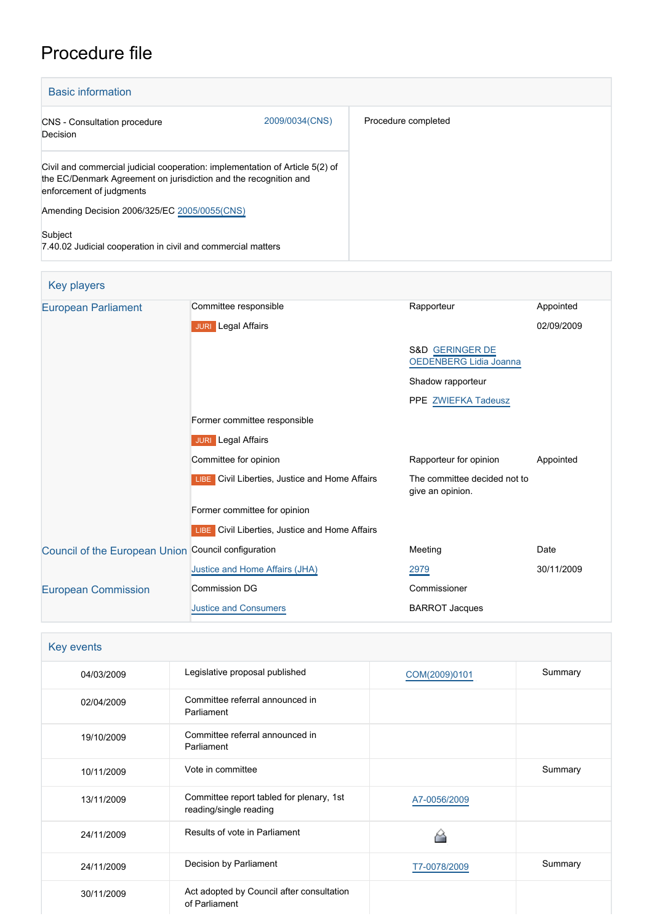# Procedure file

| <b>Basic information</b>                                                                                                                                                     |                |                     |
|------------------------------------------------------------------------------------------------------------------------------------------------------------------------------|----------------|---------------------|
| <b>CNS</b> - Consultation procedure<br>Decision                                                                                                                              | 2009/0034(CNS) | Procedure completed |
| Civil and commercial judicial cooperation: implementation of Article 5(2) of<br>the EC/Denmark Agreement on jurisdiction and the recognition and<br>enforcement of judgments |                |                     |
| Amending Decision 2006/325/EC 2005/0055(CNS)                                                                                                                                 |                |                     |
| Subject<br>7.40.02 Judicial cooperation in civil and commercial matters                                                                                                      |                |                     |

| <b>Key players</b>                                  |                                                       |                                                             |            |
|-----------------------------------------------------|-------------------------------------------------------|-------------------------------------------------------------|------------|
| <b>European Parliament</b>                          | Committee responsible                                 | Rapporteur                                                  | Appointed  |
|                                                     | <b>JURI</b> Legal Affairs                             |                                                             | 02/09/2009 |
|                                                     |                                                       | <b>S&amp;D GERINGER DE</b><br><b>OEDENBERG Lidia Joanna</b> |            |
|                                                     |                                                       | Shadow rapporteur                                           |            |
|                                                     |                                                       | PPE ZWIEFKA Tadeusz                                         |            |
|                                                     | Former committee responsible                          |                                                             |            |
|                                                     | <b>JURI</b> Legal Affairs                             |                                                             |            |
|                                                     | Committee for opinion                                 | Rapporteur for opinion                                      | Appointed  |
|                                                     | LIBE Civil Liberties, Justice and Home Affairs        | The committee decided not to<br>give an opinion.            |            |
|                                                     | Former committee for opinion                          |                                                             |            |
|                                                     | <b>LIBE</b> Civil Liberties, Justice and Home Affairs |                                                             |            |
| Council of the European Union Council configuration |                                                       | Meeting                                                     | Date       |
|                                                     | Justice and Home Affairs (JHA)                        | 2979                                                        | 30/11/2009 |
| <b>European Commission</b>                          | <b>Commission DG</b>                                  | Commissioner                                                |            |
|                                                     | <b>Justice and Consumers</b>                          | <b>BARROT Jacques</b>                                       |            |

| Key events |                                                                    |               |         |
|------------|--------------------------------------------------------------------|---------------|---------|
| 04/03/2009 | Legislative proposal published                                     | COM(2009)0101 | Summary |
| 02/04/2009 | Committee referral announced in<br>Parliament                      |               |         |
| 19/10/2009 | Committee referral announced in<br>Parliament                      |               |         |
| 10/11/2009 | Vote in committee                                                  |               | Summary |
| 13/11/2009 | Committee report tabled for plenary, 1st<br>reading/single reading | A7-0056/2009  |         |
| 24/11/2009 | Results of vote in Parliament                                      |               |         |
| 24/11/2009 | Decision by Parliament                                             | T7-0078/2009  | Summary |
| 30/11/2009 | Act adopted by Council after consultation<br>of Parliament         |               |         |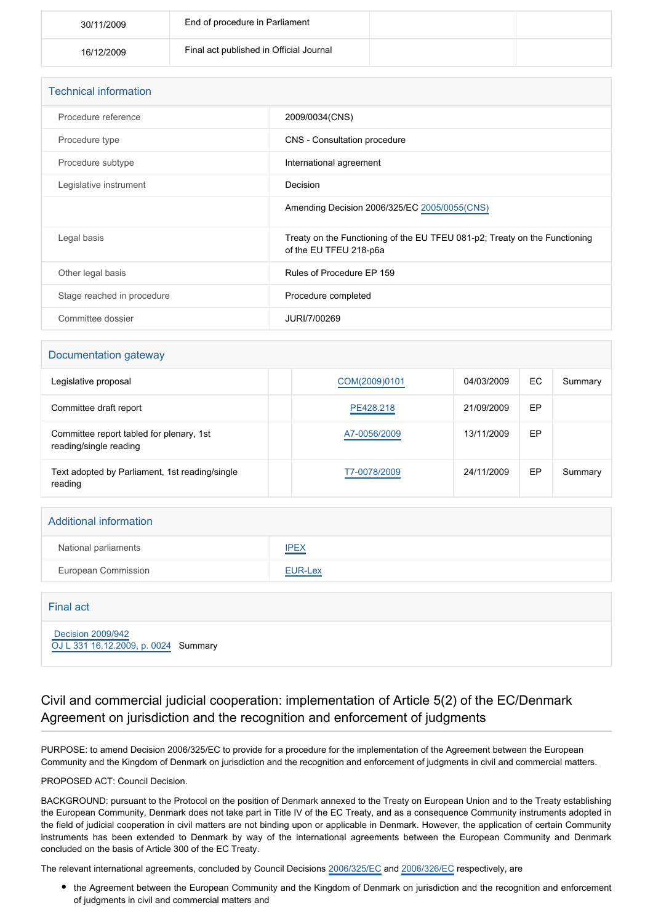| 30/11/2009 | End of procedure in Parliament          |  |
|------------|-----------------------------------------|--|
| 16/12/2009 | Final act published in Official Journal |  |

| <b>Technical information</b> |                                                                                                      |
|------------------------------|------------------------------------------------------------------------------------------------------|
| Procedure reference          | 2009/0034(CNS)                                                                                       |
| Procedure type               | CNS - Consultation procedure                                                                         |
| Procedure subtype            | International agreement                                                                              |
| Legislative instrument       | Decision                                                                                             |
|                              | Amending Decision 2006/325/EC 2005/0055(CNS)                                                         |
| Legal basis                  | Treaty on the Functioning of the EU TFEU 081-p2; Treaty on the Functioning<br>of the EU TFEU 218-p6a |
| Other legal basis            | Rules of Procedure EP 159                                                                            |
| Stage reached in procedure   | Procedure completed                                                                                  |
| Committee dossier            | JURI/7/00269                                                                                         |

#### Documentation gateway

| Legislative proposal                                               | COM(2009)0101 | 04/03/2009 | EC | Summary |
|--------------------------------------------------------------------|---------------|------------|----|---------|
| Committee draft report                                             | PE428.218     | 21/09/2009 | EP |         |
| Committee report tabled for plenary, 1st<br>reading/single reading | A7-0056/2009  | 13/11/2009 | EP |         |
| Text adopted by Parliament, 1st reading/single<br>reading          | T7-0078/2009  | 24/11/2009 | EP | Summary |

| <b>Additional information</b> |             |
|-------------------------------|-------------|
| National parliaments          | <b>IPEX</b> |
| European Commission           | EUR-Lex     |

| Final act                                                 |  |
|-----------------------------------------------------------|--|
| Decision 2009/942<br>OJ L 331 16.12.2009, p. 0024 Summary |  |

## Civil and commercial judicial cooperation: implementation of Article 5(2) of the EC/Denmark Agreement on jurisdiction and the recognition and enforcement of judgments

PURPOSE: to amend Decision 2006/325/EC to provide for a procedure for the implementation of the Agreement between the European Community and the Kingdom of Denmark on jurisdiction and the recognition and enforcement of judgments in civil and commercial matters.

### PROPOSED ACT: Council Decision.

BACKGROUND: pursuant to the Protocol on the position of Denmark annexed to the Treaty on European Union and to the Treaty establishing the European Community, Denmark does not take part in Title IV of the EC Treaty, and as a consequence Community instruments adopted in the field of judicial cooperation in civil matters are not binding upon or applicable in Denmark. However, the application of certain Community instruments has been extended to Denmark by way of the international agreements between the European Community and Denmark concluded on the basis of Article 300 of the EC Treaty.

The relevant international agreements, concluded by Council Decisions [2006/325/EC](http://www.europarl.europa.eu/oeil/FindByProcnum.do?lang=en&procnum=CNS/2005/0055) and [2006/326/EC](http://www.europarl.europa.eu/oeil/FindByProcnum.do?lang=en&procnum=CNS/2005/0056) respectively, are

the Agreement between the European Community and the Kingdom of Denmark on jurisdiction and the recognition and enforcement of judgments in civil and commercial matters and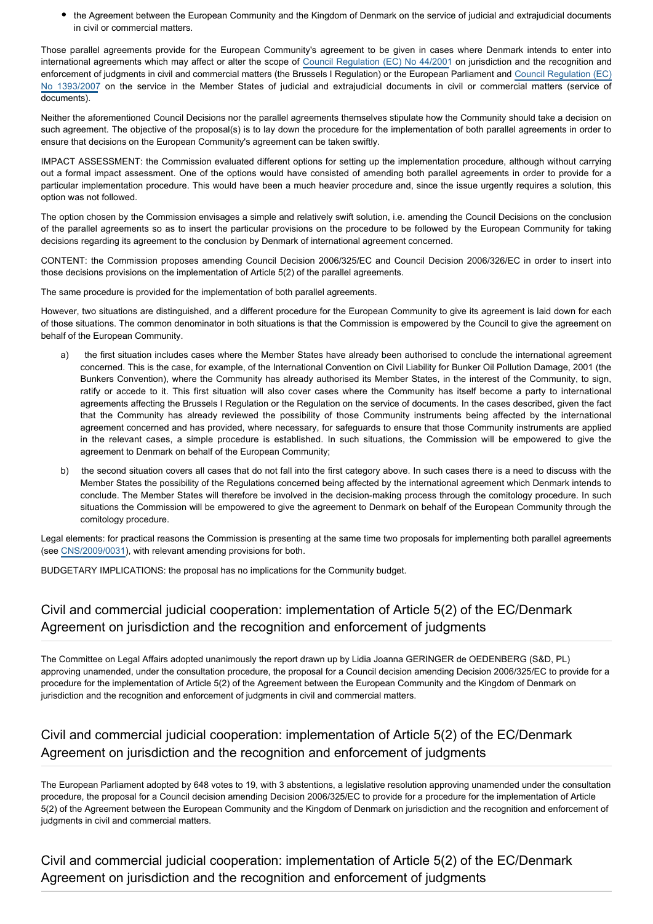the Agreement between the European Community and the Kingdom of Denmark on the service of judicial and extrajudicial documents in civil or commercial matters.

Those parallel agreements provide for the European Community's agreement to be given in cases where Denmark intends to enter into international agreements which may affect or alter the scope of [Council Regulation \(EC\) No 44/2001](http://www.europarl.europa.eu/oeil/FindByProcnum.do?lang=en&procnum=CNS/1999/0154) on jurisdiction and the recognition and enforcement of judgments in civil and commercial matters (the Brussels I Regulation) or the European Parliament and [Council Regulation \(EC\)](http://www.europarl.europa.eu/oeil/FindByProcnum.do?lang=en&procnum=COD/2005/0126) [No 1393/2007](http://www.europarl.europa.eu/oeil/FindByProcnum.do?lang=en&procnum=COD/2005/0126) on the service in the Member States of judicial and extrajudicial documents in civil or commercial matters (service of documents).

Neither the aforementioned Council Decisions nor the parallel agreements themselves stipulate how the Community should take a decision on such agreement. The objective of the proposal(s) is to lay down the procedure for the implementation of both parallel agreements in order to ensure that decisions on the European Community's agreement can be taken swiftly.

IMPACT ASSESSMENT: the Commission evaluated different options for setting up the implementation procedure, although without carrying out a formal impact assessment. One of the options would have consisted of amending both parallel agreements in order to provide for a particular implementation procedure. This would have been a much heavier procedure and, since the issue urgently requires a solution, this option was not followed.

The option chosen by the Commission envisages a simple and relatively swift solution, i.e. amending the Council Decisions on the conclusion of the parallel agreements so as to insert the particular provisions on the procedure to be followed by the European Community for taking decisions regarding its agreement to the conclusion by Denmark of international agreement concerned.

CONTENT: the Commission proposes amending Council Decision 2006/325/EC and Council Decision 2006/326/EC in order to insert into those decisions provisions on the implementation of Article 5(2) of the parallel agreements.

The same procedure is provided for the implementation of both parallel agreements.

However, two situations are distinguished, and a different procedure for the European Community to give its agreement is laid down for each of those situations. The common denominator in both situations is that the Commission is empowered by the Council to give the agreement on behalf of the European Community.

- a) the first situation includes cases where the Member States have already been authorised to conclude the international agreement concerned. This is the case, for example, of the International Convention on Civil Liability for Bunker Oil Pollution Damage, 2001 (the Bunkers Convention), where the Community has already authorised its Member States, in the interest of the Community, to sign, ratify or accede to it. This first situation will also cover cases where the Community has itself become a party to international agreements affecting the Brussels I Regulation or the Regulation on the service of documents. In the cases described, given the fact that the Community has already reviewed the possibility of those Community instruments being affected by the international agreement concerned and has provided, where necessary, for safeguards to ensure that those Community instruments are applied in the relevant cases, a simple procedure is established. In such situations, the Commission will be empowered to give the agreement to Denmark on behalf of the European Community;
- b) the second situation covers all cases that do not fall into the first category above. In such cases there is a need to discuss with the Member States the possibility of the Regulations concerned being affected by the international agreement which Denmark intends to conclude. The Member States will therefore be involved in the decision-making process through the comitology procedure. In such situations the Commission will be empowered to give the agreement to Denmark on behalf of the European Community through the comitology procedure.

Legal elements: for practical reasons the Commission is presenting at the same time two proposals for implementing both parallel agreements (see [CNS/2009/0031](http://www.europarl.europa.eu/oeil/FindByProcnum.do?lang=en&procnum=CNS/2009/0031)), with relevant amending provisions for both.

BUDGETARY IMPLICATIONS: the proposal has no implications for the Community budget.

## Civil and commercial judicial cooperation: implementation of Article 5(2) of the EC/Denmark Agreement on jurisdiction and the recognition and enforcement of judgments

The Committee on Legal Affairs adopted unanimously the report drawn up by Lidia Joanna GERINGER de OEDENBERG (S&D, PL) approving unamended, under the consultation procedure, the proposal for a Council decision amending Decision 2006/325/EC to provide for a procedure for the implementation of Article 5(2) of the Agreement between the European Community and the Kingdom of Denmark on jurisdiction and the recognition and enforcement of judgments in civil and commercial matters.

## Civil and commercial judicial cooperation: implementation of Article 5(2) of the EC/Denmark Agreement on jurisdiction and the recognition and enforcement of judgments

The European Parliament adopted by 648 votes to 19, with 3 abstentions, a legislative resolution approving unamended under the consultation procedure, the proposal for a Council decision amending Decision 2006/325/EC to provide for a procedure for the implementation of Article 5(2) of the Agreement between the European Community and the Kingdom of Denmark on jurisdiction and the recognition and enforcement of judgments in civil and commercial matters.

Civil and commercial judicial cooperation: implementation of Article 5(2) of the EC/Denmark Agreement on jurisdiction and the recognition and enforcement of judgments